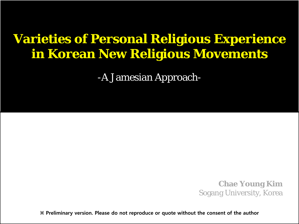## **Varieties of Personal Religious Experience in Korean New Religious Movements**

-A Jamesian Approach-

**Chae Young Kim** Sogang University, Korea

**※ Preliminary version. Please do not reproduce or quote without the consent of the author**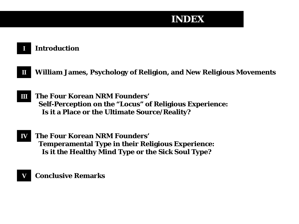### **INDEX**

#### **I Introduction**

- **William James, Psychology of Religion, and New Religious Movements II**
- **The Four Korean NRM Founders' Self-Perception on the "Locus" of Religious Experience: Is it a Place or the Ultimate Source/Reality? III**
- **The Four Korean NRM Founders' Temperamental Type in their Religious Experience: Is it the Healthy Mind Type or the Sick Soul Type? IV**

#### **Conclusive Remarks V**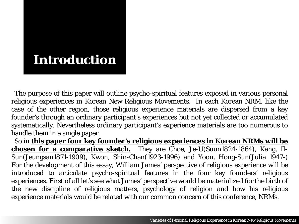## **Introduction**

 The purpose of this paper will outline psycho-spiritual features exposed in various personal religious experiences in Korean New Religious Movements. In each Korean NRM, like the case of the other region, those religious experience materials are dispersed from a key founder's through an ordinary participant's experiences but not yet collected or accumulated systematically. Nevertheless ordinary participant's experience materials are too numerous to handle them in a single paper.

 So in **this paper four key founder's religious experiences in Korean NRMs will be chosen for a comparative sketch.** They are Choe, Je-U(Suun1824-1864), Kang, Il-Sun(Jeungsan1871-1909), Kwon, Shin-Chan(1923-1996) and Yoon, Hong-Sun(Julia 1947-) For the development of this essay, William James' perspective of religious experience will be introduced to articulate psycho-spiritual features in the four key founders' religious experiences. First of all let's see what James' perspective would be materialized for the birth of the new discipline of religious matters, psychology of religion and how his religious experience materials would be related with our common concern of this conference, NRMs.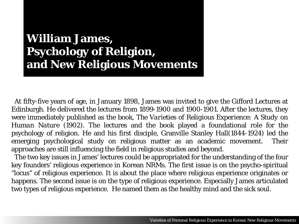## **William James, Psychology of Religion, and New Religious Movements**

 At fifty-five years of age, in January 1898, James was invited to give the Gifford Lectures at Edinburgh. He delivered the lectures from 1899-1900 and 1900-1901. After the lectures, they were immediately published as the book, *The Varieties of Religious Experience: A Study on Human Nature* (1902). The lectures and the book played a foundational role for the psychology of religion. He and his first disciple, Granville Stanley Hall(1844-1924) led the emerging psychological study on religious matter as an academic movement. Their approaches are still influencing the field in religious studies and beyond.

 The two key issues in James' lectures could be appropriated for the understanding of the four key founders' religious experience in Korean NRMs. The first issue is on the psycho-spiritual "locus" of religious experience. It is about the place where religious experience originates or happens. The second issue is on the type of religious experience. Especially James articulated two types of religious experience. He named them as the healthy mind and the sick soul.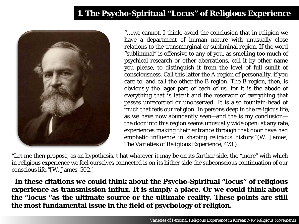#### **1. The Psycho-Spiritual "Locus" of Religious Experience**



"….we cannot, I think, avoid the conclusion that in religion we have a department of human nature with unusually close relations to the transmarginal or subliminal region. If the word "subliminal" is offensive to any of you, as smelling too much of psychical research or other aberrations, call it by other name you please, to distinguish it from the level of full sunlit of consciousness. Call this latter the A-region of personality, if you care to, and call the other the B-region. The B-region, then, is obviously the lager part of each of us, for it is the abode of everything that is latent and the reservoir of everything that passes unrecorded or unobserved…It is also fountain-head of much that feds our religion. In persons deep in the religious life, as we have now abundantly seen—and the is my conclusion the door into this region seems unusually wide open; at any rate, experiences making their entrance through that door have had emphatic influence in shaping religious history."(W. James, *The Varieties of Religious Experience*, 473.)

"Let me then propose, as an hypothesis, t hat whatever it may be on its *farther* side, the "more" with which in religious experience we feel ourselves connected is on its *hither* side the subconscious continuation of our conscious life."[W. James, 502.]

 **In these citations we could think about the Psycho-Spiritual "locus" of religious experience as transmission influx. It is simply a place. Or we could think about the "locus "as the ultimate source or the ultimate reality. These points are still the most fundamental issue in the field of psychology of religion.**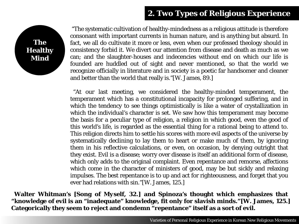#### **2. Two Types of Religious Experience**



"The systematic cultivation of healthy-mindedness as a religious attitude is therefore consonant with important currents in human nature, and is anything but absurd. In fact, we all do cultivate it more or less, even when our professed theology should in consistency forbid it. We divert our attention from disease and death as much as we can; and the slaughter-houses and indecencies without end on which our life is founded are huddled out of sight and never mentioned, so that the world we recognize officially in literature and in society is a poetic far handsomer and cleaner and better than the world that really is."[W. James, 89.]

 "At our last meeting, we considered the healthy-minded temperament, the temperament which has a constitutional incapacity for prolonged suffering, and in which the tendency to see things optimistically is like a water of crystallization in which the individual's character is set. We saw how this temperament may become the basis for a peculiar type of religion, a religion in which good, even the good of this world's life, is regarded as the essential thing for a rational being to attend to. This religion directs him to settle his scores with more evil aspects of the universe by systematically declining to lay them to heart or make much of them, by ignoring them in his reflective calculations, or even, on occasion, by denying outright that they exist. Evil is a disease; worry over disease is itself an additional form of disease, which only adds to the original complaint. Even repentance and remorse, affections which come in the character of ministers of good, may be but sickly and relaxing impulses. The best repentance is to up and act for righteousness, and forget that you ever had relations with sin."[W. James, 125.]

 **Walter Whitman's [***Song of Myself***, 32.] and Spinoza's thought which emphasizes that "knowledge of evil is an "inadequate" knowledge, fit only for slavish minds."[W. James, 125.] Categorically they seem to reject and condemn "repentance" itself as a sort of evil.**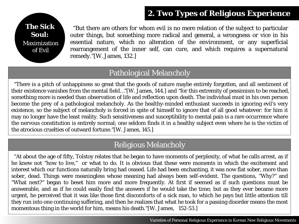#### **2. Two Types of Religious Experience**



 "But there are others for whom evil is no mere relation of the subject to particular outer things, but something more radical and general, a wrongness or vice in his essential nature, which no alteration of the environment, or any superficial rearrangement of the inner self, can cure, and which requires a supernatural remedy."[W. James, 132.]

#### Pathological Melancholy

 "There is a pitch of unhappiness so great that the goods of nature maybe entirely forgotten, and all sentiment of their existence vanishes from the mental field…"[W. James, 144.] and "for this extremity of pessimism to be reached, something more is needed than observation of life and reflection upon death. The individual must in his own person become the prey of a pathological melancholy. As the healthy-minded enthusiast succeeds in ignoring evil's very existence, so the subject of melancholy is forced in spite of himself to ignore that of all good whatever: for him it may no longer have the least reality. Such sensitiveness and susceptibility to mental pain is a rare occurrence where the nervous constitution is entirely normal; one seldom finds it in a healthy subject even where he is the victim of the atrocious cruelties of outward fortune."[W. James, 145.]

#### Religious Melancholy

 "At about the age of fifty, Tolstoy relates that he began to have moments of perplexity, of what he calls arrest, as if he knew not "how to live," or what to do. It is obvious that these were moments in which the excitement and interest which our functions naturally bring had ceased. Life had been enchanting, it was now flat sober, more than sober, dead. Things were meaningless whose meaning had always been self-evident. The questions, "Why?" and "What next?" began to beset him more and more frequently. At first if seemed as if such questions must be answerable, and as if he could easily find the answers if he would take the time; but as they ever became more urgent, he perceived that it was like those first discomforts of a sick man, to which he pays but little attention till they run into one continuing suffering, and then he realizes that what he took for a passing disorder means the most momentous thing in the world for him, means his death."[W. James, 152-53.]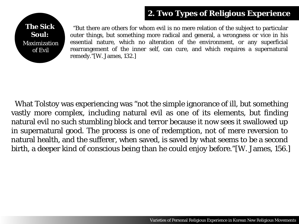#### **2. Two Types of Religious Experience**



 "But there are others for whom evil is no mere relation of the subject to particular outer things, but something more radical and general, a wrongness or vice in his essential nature, which no alteration of the environment, or any superficial rearrangement of the inner self, can cure, and which requires a supernatural remedy."[W. James, 132.]

 What Tolstoy was experiencing was "not the simple ignorance of ill, but something vastly more complex, including natural evil as one of its elements, but finding natural evil no such stumbling block and terror because it now sees it swallowed up in supernatural good. The process is one of redemption, not of mere reversion to natural health, and the sufferer, when saved, is saved by what seems to be a second birth, a deeper kind of conscious being than he could enjoy before."[W. James, 156.]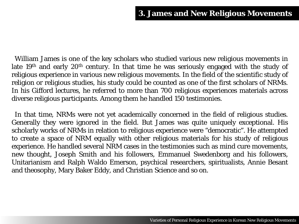William James is one of the key scholars who studied various new religious movements in late  $19<sup>th</sup>$  and early  $20<sup>th</sup>$  century. In that time he was seriously engaged with the study of religious experience in various new religious movements. In the field of the scientific study of religion or religious studies, his study could be counted as one of the first scholars of NRMs. In his Gifford lectures, he referred to more than 700 religious experiences materials across diverse religious participants. Among them he handled 150 testimonies.

 In that time, NRMs were not yet academically concerned in the field of religious studies. Generally they were ignored in the field. But James was quite uniquely exceptional. His scholarly works of NRMs in relation to religious experience were "democratic". He attempted to create a space of NRM equally with other religious materials for his study of religious experience. He handled several NRM cases in the testimonies such as mind cure movements, new thought, Joseph Smith and his followers, Emmanuel Swedenborg and his followers, Unitarianism and Ralph Waldo Emerson, psychical researchers, spiritualists, Annie Besant and theosophy, Mary Baker Eddy, and Christian Science and so on.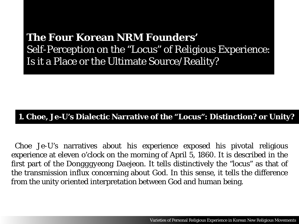### **The Four Korean NRM Founders'** Self-Perception on the "Locus" of Religious Experience: Is it a Place or the Ultimate Source/Reality?

#### **1. Choe, Je-U's Dialectic Narrative of the "Locus": Distinction? or Unity?**

 Choe Je-U's narratives about his experience exposed his pivotal religious experience at eleven o'clock on the morning of April 5, 1860. It is described in the first part of the *Dongggyeong Daejeon.* It tells distinctively the "locus" as that of the transmission influx concerning about God. In this sense, it tells the difference from the unity oriented interpretation between God and human being.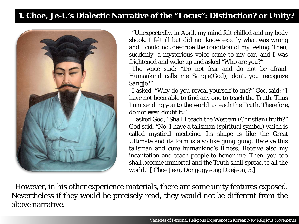#### **1. Choe, Je-U's Dialectic Narrative of the "Locus": Distinction? or Unity?**



 "Unexpectedly, in April, my mind felt chilled and my body shook. I felt ill but did not know exactly what was wrong and I could not describe the condition of my feeling. Then, suddenly, a mysterious voice came to my ear, and I was frightened and woke up and asked "Who are you?"

 The voice said: "Do not fear and do not be afraid. Humankind calls me *Sangje*(God); don't you recognize *Sangje*?"

 I asked, "Why do you reveal yourself to me?" God said: "I have not been able to find any one to teach the Truth. Thus I am sending you to the world to teach the Truth. Therefore, do not even doubt it."

 I asked God, "Shall I teach the Western (Christian) truth?" God said, "No, I have a talisman (spiritual symbol) which is called mystical medicine. Its shape is like the Great Ultimate and its form is also like *gung gung*. Receive this talisman and cure humankind's illness. Receive also my incantation and teach people to honor me. Then, you too shall become immortal and the Truth shall spread to all the world." [ Choe Je-u, *Dongggyeong Daejeon*, 5.]

 However, in his other experience materials, there are some unity features exposed. Nevertheless if they would be precisely read, they would not be different from the above narrative.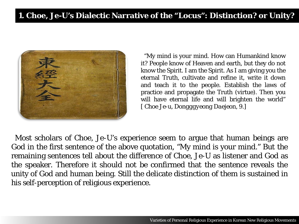

 "My mind is your mind. How can Humankind know it? People know of Heaven and earth, but they do not know the Spirit. I am the Spirit. As I am giving you the eternal Truth, cultivate and refine it, write it down and teach it to the people. Establish the laws of practice and propagate the Truth (virtue). Then you will have eternal life and will brighten the world" [ Choe Je-u, *Dongggyeong Daejeon*, 9.]

 Most scholars of Choe, Je-U's experience seem to argue that human beings are God in the first sentence of the above quotation, "My mind is your mind." But the remaining sentences tell about the difference of Choe, Je-U as listener and God as the speaker. Therefore it should not be confirmed that the sentence reveals the unity of God and human being. Still the delicate distinction of them is sustained in his self-perception of religious experience.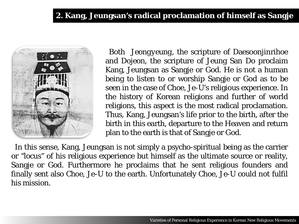#### **2. Kang, Jeungsan's radical proclamation of himself as Sangje**



 Both *Jeongyeung,* the scripture of Daesoonjinrihoe and *Dojeon,* the scripture of Jeung San Do proclaim Kang, Jeungsan as Sangje or God. He is not a human being to listen to or worship Sangje or God as to be seen in the case of Choe, Je-U's religious experience. In the history of Korean religions and further of world religions, this aspect is the most radical proclamation. Thus, Kang, Jeungsan's life prior to the birth, after the birth in this earth, departure to the Heaven and return plan to the earth is that of Sangje or God.

 In this sense, Kang, Jeungsan is not simply a psycho-spiritual being as the carrier or "locus" of his religious experience but himself as the ultimate source or reality, Sangje or God. Furthermore he proclaims that he sent religious founders and finally sent also Choe, Je-U to the earth. Unfortunately Choe, Je-U could not fulfil his mission.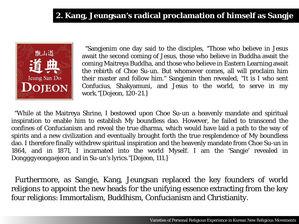#### **2. Kang, Jeungsan's radical proclamation of himself as Sangje**



 "Sangjenim one day said to the disciples, "Those who believe in Jesus await the second coming of Jesus, those who believe in Buddha await the coming Maitreya Buddha, and those who believe in Eastern Learning await the rebirth of Choe Su-un. But whomever comes, all will proclaim him their master and follow him." Sangjenin then revealed, "It is I who sent Confucius, Shakyamuni, and Jesus to the world, to serve in my work."[*Dojeon*, 120-21.]

 "While at the Maitreya Shrine, I bestowed upon Choe Su-un a heavenly mandate and spiritual inspiration to enable him to establish My boundless dao. However, he failed to transcend the confines of Confucianism and reveal the true dharma, which would have laid a path to the way of spirits and a new civilization and eventually brought forth the true resplendence of My boundless dao. I therefore finally withdrew spiritual inspiration and the heavenly mandate from Choe Su-un in 1864, and in 1871, I incarnated into the world Myself. I am the 'Sangje' revealed in *Dongggyeongaejeon* and in Su-un's lyrics."[*Dojeon*, 111.]

 Furthermore, as Sangje, Kang, Jeungsan replaced the key founders of world religions to appoint the new heads for the unifying essence extracting from the key four religions: Immortalism, Buddhism, Confucianism and Christianity.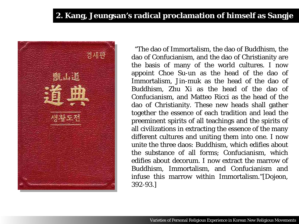#### **2. Kang, Jeungsan's radical proclamation of himself as Sangje**



 "The dao of Immortalism, the dao of Buddhism, the dao of Confucianism, and the dao of Christianity are the basis of many of the world cultures. I now appoint Choe Su-un as the head of the dao of Immortalism, Jin-muk as the head of the dao of Buddhism, Zhu Xi as the head of the dao of Confucianism, and Matteo Ricci as the head of the dao of Christianity. These new heads shall gather together the essence of each tradition and lead the preeminent spirits of all teachings and the spirits of all civilizations in extracting the essence of the many different cultures and uniting them into one. I now unite the three daos: Buddhism, which edifies about the substance of all forms; Confucianism, which edifies about decorum. I now extract the marrow of Buddhism, Immortalism, and Confucianism and infuse this marrow within Immortalism."[*Dojeon*, 392-93.]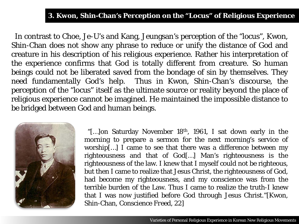#### **3. Kwon, Shin-Chan's Perception on the "Locus" of Religious Experience**

 In contrast to Choe, Je-U's and Kang, Jeungsan's perception of the "locus", Kwon, Shin-Chan does not show any phrase to reduce or unify the distance of God and creature in his description of his religious experience. Rather his interpretation of the experience confirms that God is totally different from creature. So human beings could not be liberated saved from the bondage of sin by themselves. They need fundamentally God's help. Thus in Kwon, Shin-Chan's discourse, the perception of the "locus" itself as the ultimate source or reality beyond the place of religious experience cannot be imagined. He maintained the impossible distance to be bridged between God and human beings.



"[...] on Saturday November 18<sup>th</sup>, 1961, I sat down early in the morning to prepare a sermon for the next morning's service of worship[…] I came to see that there was a difference between my righteousness and that of God[…] Man's righteousness is the righteousness of the law. I knew that I myself could not be righteous, but then I came to realize that Jesus Christ, the righteousness of God, had become my righteousness, and my conscience was from the terrible burden of the Law. Thus I came to realize the truth-I knew that I was now justified before God through Jesus Christ."[Kwon, Shin-Chan, *Conscience Freed*, 22]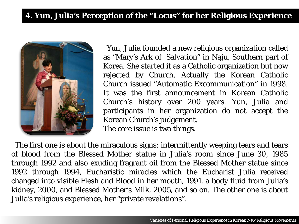

 Yun, Julia founded a new religious organization called as "Mary's Ark of Salvation" in Naju, Southern part of Korea. She started it as a Catholic organization but now rejected by Church. Actually the Korean Catholic Church issued "Automatic Excommunication" in 1998. It was the first announcement in Korean Catholic Church's history over 200 years. Yun, Julia and participants in her organization do not accept the Korean Church's judgement.

The core issue is two things.

 The first one is about the miraculous signs: intermittently weeping tears and tears of blood from the Blessed Mother statue in Julia's room since June 30, 1985 through 1992 and also exuding fragrant oil from the Blessed Mother statue since 1992 through 1994, Eucharistic miracles which the Eucharist Julia received changed into visible Flesh and Blood in her mouth, 1991, a body fluid from Julia's kidney, 2000, and Blessed Mother's Milk, 2005, and so on. The other one is about Julia's religious experience, her "private revelations".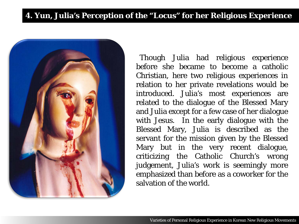

 Though Julia had religious experience before she became to become a catholic Christian, here two religious experiences in relation to her private revelations would be introduced. Julia's most experiences are related to the dialogue of the Blessed Mary and Julia except for a few case of her dialogue with Jesus. In the early dialogue with the Blessed Mary, Julia is described as the servant for the mission given by the Blessed Mary but in the very recent dialogue, criticizing the Catholic Church's wrong judgement, Julia's work is seemingly more emphasized than before as a coworker for the salvation of the world.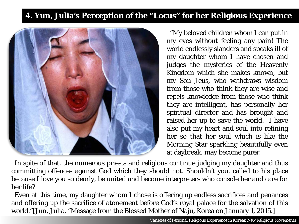

 "My beloved children whom I can put in my eyes without feeling any pain! The world endlessly slanders and speaks ill of my daughter whom I have chosen and judges the mysteries of the Heavenly Kingdom which she makes known, but my Son Jeus, who withdraws wisdom from those who think they are wise and repels knowledge from those who think they are intelligent, has personally her spiritual director and has brought and raised her up to save the world. I have also put my heart and soul into refining her so that her soul which is like the Morning Star sparkling beautifully even at daybreak, may become purer.

 In spite of that, the numerous priests and religious continue judging my daughter and thus committing offences against God which they should not. Shouldn't you, called to his place because I love you so dearly, be united and become interpreters who console her and care for her life?

 Even at this time, my daughter whom I chose is offering up endless sacrifices and penances and offering up the sacrifice of atonement before God's royal palace for the salvation of this world."[Jun, Julia, "Message from the Blessed Mother of Naju, Korea on January 1, 2015.]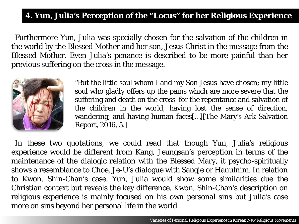Furthermore Yun, Julia was specially chosen for the salvation of the children in the world by the Blessed Mother and her son, Jesus Christ in the message from the Blessed Mother. Even Julia's penance is described to be more painful than her previous suffering on the cross in the message.



"But the little soul whom I and my Son Jesus have chosen; my little soul who gladly offers up the pains which are more severe that the suffering and death on the cross for the repentance and salvation of the children in the world, having lost the sense of direction, wandering, and having human faces[…][The Mary's Ark Salvation Report, 2016, 5.]

 In these two quotations, we could read that though Yun, Julia's religious experience would be different from Kang, Jeungsan's perception in terms of the maintenance of the dialogic relation with the Blessed Mary, it psycho-spiritually shows a resemblance to Choe, Je-U's dialogue with Sangje or Hanulnim. In relation to Kwon, Shin-Chan's case, Yun, Julia would show some similarities due the Christian context but reveals the key difference. Kwon, Shin-Chan's description on religious experience is mainly focused on his own personal sins but Julia's case more on sins beyond her personal life in the world.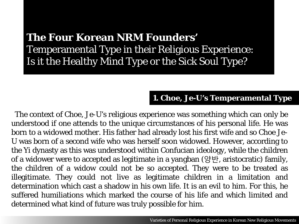### **The Four Korean NRM Founders'** Temperamental Type in their Religious Experience: Is it the Healthy Mind Type or the Sick Soul Type?

#### **1. Choe, Je-U's Temperamental Type**

 The context of Choe, Je-U's religious experience was something which can only be understood if one attends to the unique circumstances of his personal life. He was born to a widowed mother. His father had already lost his first wife and so Choe Je-U was born of a second wife who was herself soon widowed. However, according to the Yi dynasty as this was understood within Confucian ideology, while the children of a widower were to accepted as legitimate in a yangban (양반, aristocratic) family, the children of a widow could not be so accepted. They were to be treated as illegitimate. They could not live as legitimate children in a limitation and determination which cast a shadow in his own life. It is an evil to him. For this, he suffered humiliations which marked the course of his life and which limited and determined what kind of future was truly possible for him.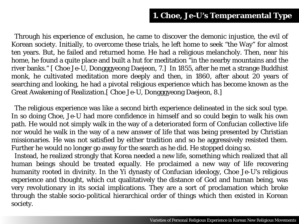Through his experience of exclusion, he came to discover the demonic injustice, the evil of Korean society. Initially, to overcome these trials, he left home to seek "the Way" for almost ten years. But, he failed and returned home. He had a religious melancholy. Then, near his home, he found a quite place and built a hut for meditation "in the nearby mountains and the river banks." [ Choe Je-U, Dongggyeong Daejeon, 7.] In 1855, after he met a strange Buddhist monk, he cultivated meditation more deeply and then, in 1860, after about 20 years of searching and looking, he had a pivotal religious experience which has become known as the Great Awakening of Realization.[ Choe Je-U, Dongggyeong Daejeon, 8.]

 The religious experience was like a second birth experience delineated in the sick soul type. In so doing Choe, Je-U had more confidence in himself and so could begin to walk his own path. He would not simply walk in the way of a deteriorated form of Confucian collective life nor would he walk in the way of a new answer of life that was being presented by Christian missionaries. He was not satisfied by either tradition and so he aggressively resisted them. Further he would no longer go away for the search as he did. He stopped doing so.

 Instead, he realized strongly that Korea needed a new life, something which realized that all human beings should be treated equally. He proclaimed a new way of life recovering humanity rooted in divinity. In the Yi dynasty of Confucian ideology, Choe Je-U's religious experience and thought, which cut qualitatively the distance of God and human being, was very revolutionary in its social implications. They are a sort of proclamation which broke through the stable socio-political hierarchical order of things which then existed in Korean society.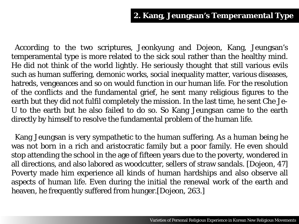According to the two scriptures, Jeonkyung and Dojeon, Kang, Jeungsan's temperamental type is more related to the sick soul rather than the healthy mind. He did not think of the world lightly. He seriously thought that still various evils such as human suffering, demonic works, social inequality matter, various diseases, hatreds, vengeances and so on would function in our human life. For the resolution of the conflicts and the fundamental grief, he sent many religious figures to the earth but they did not fulfil completely the mission. In the last time, he sent Che Je-U to the earth but he also failed to do so. So Kang Jeungsan came to the earth directly by himself to resolve the fundamental problem of the human life.

Kang Jeungsan is very sympathetic to the human suffering. As a human being he was not born in a rich and aristocratic family but a poor family. He even should stop attending the school in the age of fifteen years due to the poverty, wondered in all directions, and also labored as woodcutter, sellers of straw sandals. [Dojeon, 47] Poverty made him experience all kinds of human hardships and also observe all aspects of human life. Even during the initial the renewal work of the earth and heaven, he frequently suffered from hunger.[Dojeon, 263.]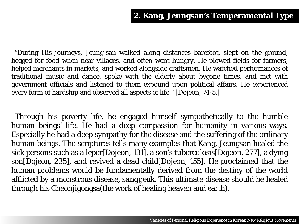"During His journeys, Jeung-san walked along distances barefoot, slept on the ground, begged for food when near villages, and often went hungry. He plowed fields for farmers, helped merchants in markets, and worked alongside craftsmen. He watched performances of traditional music and dance, spoke with the elderly about bygone times, and met with government officials and listened to them expound upon political affairs. He experienced every form of hardship and observed all aspects of life." [*Dojeon*, 74-5.]

 Through his poverty life, he engaged himself sympathetically to the humble human beings' life. He had a deep compassion for humanity in various ways. Especially he had a deep sympathy for the disease and the suffering of the ordinary human beings. The scriptures tells many examples that Kang, Jeungsan healed the sick persons such as a leper[*Dojeon*, 131], a son's tuberculosis[*Dojeon*, 277], a dying son[*Dojeon*, 235], and revived a dead child[*Dojeon*, 155]. He proclaimed that the human problems would be fundamentally derived from the destiny of the world afflicted by a monstrous disease*, sanggeuk.* This ultimate disease should be healed through his Cheonjigongsa(the work of healing heaven and earth).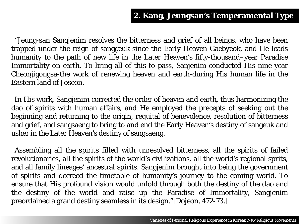"Jeung-san Sangjenim resolves the bitterness and grief of all beings, who have been trapped under the reign of sanggeuk since the Early Heaven Gaebyeok, and He leads humanity to the path of new life in the Later Heaven's fifty-thousand–year Paradise Immortality on earth. To bring all of this to pass, Sanjenim conducted His nine-year Cheonjigongsa-the work of renewing heaven and earth-during His human life in the Eastern land of Joseon.

 In His work, Sangjenim corrected the order of heaven and earth, thus harmonizing the dao of spirits with human affairs, and He employed the precepts of seeking out the beginning and returning to the origin, requital of benevolence, resolution of bitterness and grief, and sangsaeng to bring to and end the Early Heaven's destiny of sangeuk and usher in the Later Heaven's destiny of sangsaeng.

 Assembling all the spirits filled with unresolved bitterness, all the spirits of failed revolutionaries, all the spirits of the world's civilizations, all the world's regional sprits, and all family lineages' ancestral spirits. Sangjenim brought into being the government of spirits and decreed the timetable of humanity's journey to the coming world. To ensure that His profound vision would unfold through both the destiny of the dao and the destiny of the world and raise up the Paradise of Immortality, Sangjenim preordained a grand destiny seamless in its design."[Dojeon, 472-73.]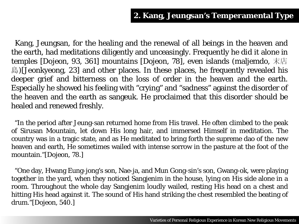Kang, Jeungsan, for the healing and the renewal of all beings in the heaven and the earth, had meditations diligently and unceasingly. Frequently he did it alone in temples [Dojeon, 93, 361] mountains [Dojeon, 78], even islands (maljemdo, 末店 島)[Jeonkyeong, 23] and other places. In these places, he frequently revealed his deeper grief and bitterness on the loss of order in the heaven and the earth. Especially he showed his feeling with "crying" and "sadness" against the disorder of the heaven and the earth as sangeuk. He proclaimed that this disorder should be healed and renewed freshly.

 "In the period after Jeung-san returned home from His travel. He often climbed to the peak of Sirusan Mountain, let down His long hair, and immersed Himself in meditation. The country was in a tragic state, and as He meditated to bring forth the supreme dao of the new heaven and earth, He sometimes wailed with intense sorrow in the pasture at the foot of the mountain."[Dojeon, 78.]

 "One day, Hwang Eung-jong's son, Nae-ja, and Mun Gong-sin's son, Gwang-ok, were playing together in the yard, when they noticed Sangjenim in the house, lying on His side alone in a room. Throughout the whole day Sangjenim loudly wailed, resting His head on a chest and hitting His head against it. The sound of His hand striking the chest resembled the beating of drum."[Dojeon, 540.]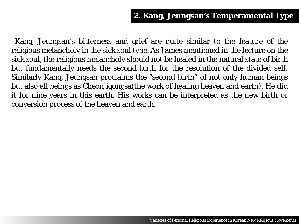Kang, Jeungsan's bitterness and grief are quite similar to the feature of the religious melancholy in the sick soul type. As James mentioned in the lecture on the sick soul, the religious melancholy should not be healed in the natural state of birth but fundamentally needs the second birth for the resolution of the divided self. Similarly Kang, Jeungsan proclaims the "second birth" of not only human beings but also all beings as Cheonjigongsa(the work of healing heaven and earth). He did it for nine years in this earth. His works can be interpreted as the new birth or conversion process of the heaven and earth.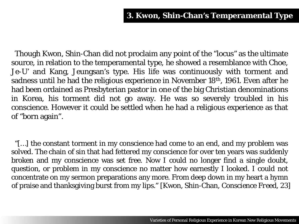Though Kwon, Shin-Chan did not proclaim any point of the "locus" as the ultimate source, in relation to the temperamental type, he showed a resemblance with Choe, Je-U' and Kang, Jeungsan's type. His life was continuously with torment and sadness until he had the religious experience in November 18th, 1961. Even after he had been ordained as Presbyterian pastor in one of the big Christian denominations in Korea, his torment did not go away. He was so severely troubled in his conscience. However it could be settled when he had a religious experience as that of "born again".

 "[…] the constant torment in my conscience had come to an end, and my problem was solved. The chain of sin that had fettered my conscience for over ten years was suddenly broken and my conscience was set free. Now I could no longer find a single doubt, question, or problem in my conscience no matter how earnestly I looked. I could not concentrate on my sermon preparations any more. From deep down in my heart a hymn of praise and thanksgiving burst from my lips." [Kwon, Shin-Chan, *Conscience Freed*, 23]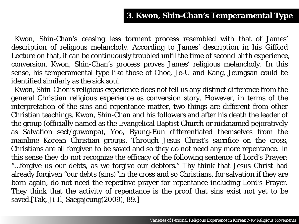#### **3. Kwon, Shin-Chan's Temperamental Type**

 Kwon, Shin-Chan's ceasing less torment process resembled with that of James' description of religious melancholy. According to James' description in his Gifford Lecture on that, it can be continuously troubled until the time of second birth experience, conversion. Kwon, Shin-Chan's process proves James' religious melancholy. In this sense, his temperamental type like those of Choe, Je-U and Kang, Jeungsan could be identified similarly as the sick soul.

 Kwon, Shin-Chon's religious experience does not tell us any distinct difference from the general Christian religious experience as conversion story. However, in terms of the interpretation of the sins and repentance matter, two things are different from other Christian teachings. Kwon, Shin-Chan and his followers and after his death the leader of the group (officially named as the Evangelical Baptist Church or nicknamed pejoratively as Salvation sect/guwonpa), Yoo, Byung-Eun differentiated themselves from the mainline Korean Christian groups. Through Jesus Christ's sacrifice on the cross, Christians are all forgiven to be saved and so they do not need any more repentance. In this sense they do not recognize the efficacy of the following sentence of Lord's Prayer: "…forgive us our debts, as we forgive our debtors." Thy think that Jesus Christ had already forgiven "our debts (sins)"in the cross and so Christians, for salvation if they are born again, do not need the repetitive prayer for repentance including Lord's Prayer. They think that the activity of repentance is the proof that sins exist not yet to be saved.[Tak, Ji-Il, Saegajeung(2009), 89.]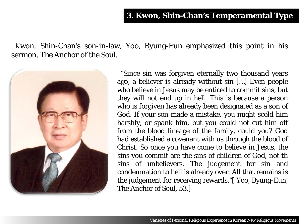Kwon, Shin-Chan's son-in-law, Yoo, Byung-Eun emphasized this point in his sermon, *The Anchor of the Soul.*



 "Since sin was forgiven eternally two thousand years ago, a believer is already without sin […] Even people who believe in Jesus may be enticed to commit sins, but they will not end up in hell. This is because a person who is forgiven has already been designated as a son of God. If your son made a mistake, you might scold him harshly, or spank him, but you could not cut him off from the blood lineage of the family, could you? God had established a covenant with us through the blood of Christ. So once you have come to believe in Jesus, the sins you commit are the sins of children of God, not th sins of unbelievers. The judgement for sin and condemnation to hell is already over. All that remains is the judgement for receiving rewards."[ Yoo, Byung-Eun, The Anchor of Soul, 53.]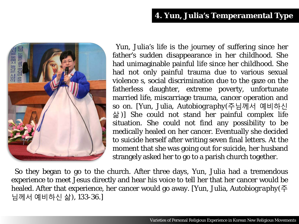#### **4. Yun, Julia's Temperamental Type**



 Yun, Julia's life is the journey of suffering since her father's sudden disappearance in her childhood. She had unimaginable painful life since her childhood. She had not only painful trauma due to various sexual violence s, social discrimination due to the gaze on the fatherless daughter, extreme poverty, unfortunate married life, miscarriage trauma, cancer operation and so on. [Yun, Julia, *Autobiography*(주님께서 예비하신 삶)] She could not stand her painful complex life situation. She could not find any possibility to be medically healed on her cancer. Eventually she decided to suicide herself after writing seven final letters. At the moment that she was going out for suicide, her husband strangely asked her to go to a parish church together.

 So they began to go to the church. After three days, Yun, Julia had a tremendous experience to meet Jesus directly and hear his voice to tell her that her cancer would be healed. After that experience, her cancer would go away. [Yun, Julia, *Autobiography*(주 님께서 예비하신 삶), 133-36.]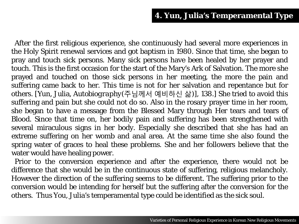After the first religious experience, she continuously had several more experiences in the Holy Spirit renewal services and got baptism in 1980. Since that time, she began to pray and touch sick persons. Many sick persons have been healed by her prayer and touch. This is the first occasion for the start of the Mary's Ark of Salvation. The more she prayed and touched on those sick persons in her meeting, the more the pain and suffering came back to her. This time is not for her salvation and repentance but for others. [Yun, Julia, *Autobiography*(주님께서 예비하신 삶)], 138.] She tried to avoid this suffering and pain but she could not do so. Also in the rosary prayer time in her room, she began to have a message from the Blessed Mary through Her tears and tears of Blood. Since that time on, her bodily pain and suffering has been strengthened with several miraculous signs in her body. Especially she described that she has had an extreme suffering on her womb and anal area. At the same time she also found the spring water of graces to heal these problems. She and her followers believe that the water would have healing power.

Prior to the conversion experience and after the experience, there would not be difference that she would be in the continuous state of suffering, religious melancholy. However the direction of the suffering seems to be different. The suffering prior to the conversion would be intending for herself but the suffering after the conversion for the others. Thus You, Julia's temperamental type could be identified as the sick soul.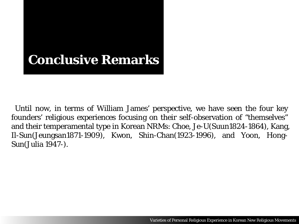# **Conclusive Remarks**

 Until now, in terms of William James' perspective, we have seen the four key founders' religious experiences focusing on their self-observation of "themselves" and their temperamental type in Korean NRMs: Choe, Je-U(Suun1824-1864), Kang, Il-Sun(Jeungsan1871-1909), Kwon, Shin-Chan(1923-1996), and Yoon, Hong-Sun(Julia 1947-).